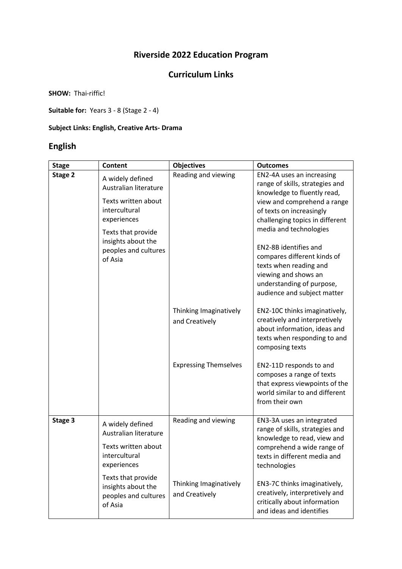# **Riverside 2022 Education Program**

### **Curriculum Links**

**SHOW:** Thai-riffic!

**Suitable for:** Years 3 - 8 (Stage 2 - 4)

#### **Subject Links: English, Creative Arts- Drama**

# **English**

| <b>Stage</b> | <b>Content</b>                                                                                                                                                                  | <b>Objectives</b>                        | <b>Outcomes</b>                                                                                                                                                                                                                                                                                                                                                                           |
|--------------|---------------------------------------------------------------------------------------------------------------------------------------------------------------------------------|------------------------------------------|-------------------------------------------------------------------------------------------------------------------------------------------------------------------------------------------------------------------------------------------------------------------------------------------------------------------------------------------------------------------------------------------|
| Stage 2      | A widely defined<br>Australian literature<br>Texts written about<br>intercultural<br>experiences<br>Texts that provide<br>insights about the<br>peoples and cultures<br>of Asia | Reading and viewing                      | EN2-4A uses an increasing<br>range of skills, strategies and<br>knowledge to fluently read,<br>view and comprehend a range<br>of texts on increasingly<br>challenging topics in different<br>media and technologies<br>EN2-8B identifies and<br>compares different kinds of<br>texts when reading and<br>viewing and shows an<br>understanding of purpose,<br>audience and subject matter |
|              |                                                                                                                                                                                 | Thinking Imaginatively<br>and Creatively | EN2-10C thinks imaginatively,<br>creatively and interpretively<br>about information, ideas and<br>texts when responding to and<br>composing texts                                                                                                                                                                                                                                         |
|              |                                                                                                                                                                                 | <b>Expressing Themselves</b>             | EN2-11D responds to and<br>composes a range of texts<br>that express viewpoints of the<br>world similar to and different<br>from their own                                                                                                                                                                                                                                                |
| Stage 3      | A widely defined<br>Australian literature                                                                                                                                       | Reading and viewing                      | EN3-3A uses an integrated<br>range of skills, strategies and<br>knowledge to read, view and                                                                                                                                                                                                                                                                                               |
|              | Texts written about<br>intercultural<br>experiences                                                                                                                             |                                          | comprehend a wide range of<br>texts in different media and<br>technologies                                                                                                                                                                                                                                                                                                                |
|              | Texts that provide<br>insights about the<br>peoples and cultures<br>of Asia                                                                                                     | Thinking Imaginatively<br>and Creatively | EN3-7C thinks imaginatively,<br>creatively, interpretively and<br>critically about information<br>and ideas and identifies                                                                                                                                                                                                                                                                |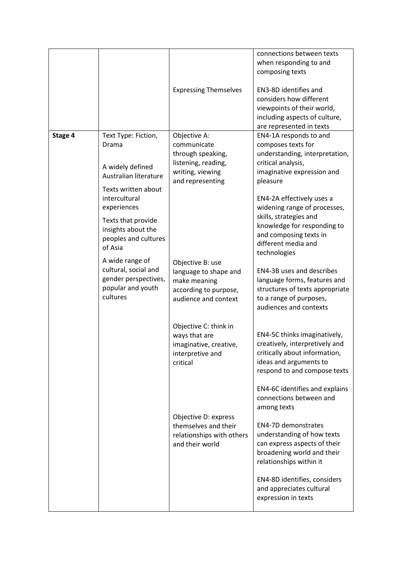|         |                                                                                                             | <b>Expressing Themselves</b>                                                                                    | connections between texts<br>when responding to and<br>composing texts<br>EN3-8D identifies and<br>considers how different<br>viewpoints of their world,<br>including aspects of culture,<br>are represented in texts |
|---------|-------------------------------------------------------------------------------------------------------------|-----------------------------------------------------------------------------------------------------------------|-----------------------------------------------------------------------------------------------------------------------------------------------------------------------------------------------------------------------|
| Stage 4 | Text Type: Fiction,<br>Drama<br>A widely defined<br>Australian literature<br>Texts written about            | Objective A:<br>communicate<br>through speaking,<br>listening, reading,<br>writing, viewing<br>and representing | EN4-1A responds to and<br>composes texts for<br>understanding, interpretation,<br>critical analysis,<br>imaginative expression and<br>pleasure                                                                        |
|         | intercultural<br>experiences<br>Texts that provide<br>insights about the<br>peoples and cultures<br>of Asia |                                                                                                                 | EN4-2A effectively uses a<br>widening range of processes,<br>skills, strategies and<br>knowledge for responding to<br>and composing texts in<br>different media and<br>technologies                                   |
|         | A wide range of<br>cultural, social and<br>gender perspectives,<br>popular and youth<br>cultures            | Objective B: use<br>language to shape and<br>make meaning<br>according to purpose,<br>audience and context      | EN4-3B uses and describes<br>language forms, features and<br>structures of texts appropriate<br>to a range of purposes,<br>audiences and contexts                                                                     |
|         |                                                                                                             | Objective C: think in<br>ways that are<br>imaginative, creative,<br>interpretive and<br>critical                | EN4-5C thinks imaginatively,<br>creatively, interpretively and<br>critically about information,<br>ideas and arguments to<br>respond to and compose texts                                                             |
|         |                                                                                                             | Objective D: express                                                                                            | EN4-6C identifies and explains<br>connections between and<br>among texts                                                                                                                                              |
|         |                                                                                                             | themselves and their<br>relationships with others<br>and their world                                            | EN4-7D demonstrates<br>understanding of how texts<br>can express aspects of their<br>broadening world and their<br>relationships within it                                                                            |
|         |                                                                                                             |                                                                                                                 | EN4-8D identifies, considers<br>and appreciates cultural<br>expression in texts                                                                                                                                       |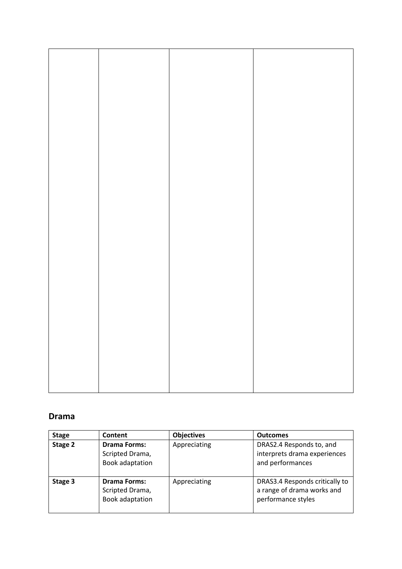### **Drama**

| <b>Stage</b> | Content                                                   | <b>Objectives</b> | <b>Outcomes</b>                                                                    |
|--------------|-----------------------------------------------------------|-------------------|------------------------------------------------------------------------------------|
| Stage 2      | <b>Drama Forms:</b><br>Scripted Drama,<br>Book adaptation | Appreciating      | DRAS2.4 Responds to, and<br>interprets drama experiences<br>and performances       |
| Stage 3      | <b>Drama Forms:</b><br>Scripted Drama,<br>Book adaptation | Appreciating      | DRAS3.4 Responds critically to<br>a range of drama works and<br>performance styles |